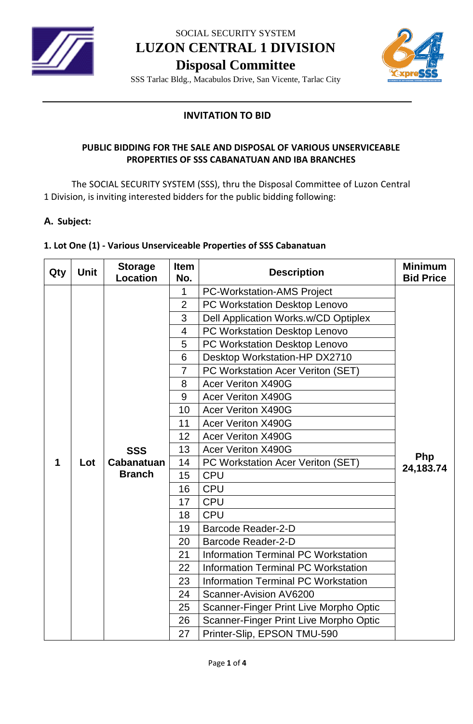

SOCIAL SECURITY SYSTEM

**LUZON CENTRAL 1 DIVISION**

**Disposal Committee**



SSS Tarlac Bldg., Macabulos Drive, San Vicente, Tarlac City

## **INVITATION TO BID**

## **PUBLIC BIDDING FOR THE SALE AND DISPOSAL OF VARIOUS UNSERVICEABLE PROPERTIES OF SSS CABANATUAN AND IBA BRANCHES**

The SOCIAL SECURITY SYSTEM (SSS), thru the Disposal Committee of Luzon Central 1 Division, is inviting interested bidders for the public bidding following:

## **A. Subject:**

## **1. Lot One (1) - Various Unserviceable Properties of SSS Cabanatuan**

| Qty | <b>Unit</b> | <b>Storage</b><br><b>Location</b> | <b>Item</b><br>No. | <b>Description</b>                         | <b>Minimum</b><br><b>Bid Price</b> |
|-----|-------------|-----------------------------------|--------------------|--------------------------------------------|------------------------------------|
|     |             |                                   | $\mathbf{1}$       | <b>PC-Workstation-AMS Project</b>          |                                    |
|     |             |                                   | $\overline{2}$     | PC Workstation Desktop Lenovo              |                                    |
|     |             |                                   | 3                  | Dell Application Works.w/CD Optiplex       |                                    |
|     |             |                                   | 4                  | PC Workstation Desktop Lenovo              |                                    |
|     |             |                                   | 5                  | PC Workstation Desktop Lenovo              |                                    |
|     |             |                                   | 6                  | Desktop Workstation-HP DX2710              |                                    |
|     |             |                                   | $\overline{7}$     | PC Workstation Acer Veriton (SET)          |                                    |
|     |             |                                   | 8                  | <b>Acer Veriton X490G</b>                  |                                    |
|     |             |                                   | 9                  | <b>Acer Veriton X490G</b>                  |                                    |
|     |             |                                   | 10                 | <b>Acer Veriton X490G</b>                  |                                    |
|     |             |                                   | 11                 | <b>Acer Veriton X490G</b>                  |                                    |
|     |             |                                   | 12                 | <b>Acer Veriton X490G</b>                  |                                    |
|     |             | <b>SSS</b>                        | 13                 | <b>Acer Veriton X490G</b>                  |                                    |
| 1   | Lot         | <b>Cabanatuan</b>                 | 14                 | PC Workstation Acer Veriton (SET)          | Php<br>24,183.74                   |
|     |             | <b>Branch</b>                     | 15                 | <b>CPU</b>                                 |                                    |
|     |             |                                   | 16                 | <b>CPU</b>                                 |                                    |
|     |             |                                   | 17                 | <b>CPU</b>                                 |                                    |
|     |             |                                   | 18                 | <b>CPU</b>                                 |                                    |
|     |             |                                   | 19                 | <b>Barcode Reader-2-D</b>                  |                                    |
|     |             |                                   | 20                 | <b>Barcode Reader-2-D</b>                  |                                    |
|     |             |                                   | 21                 | <b>Information Terminal PC Workstation</b> |                                    |
|     |             |                                   | 22                 | <b>Information Terminal PC Workstation</b> |                                    |
|     |             |                                   | 23                 | <b>Information Terminal PC Workstation</b> |                                    |
|     |             |                                   | 24                 | Scanner-Avision AV6200                     |                                    |
|     |             |                                   | 25                 | Scanner-Finger Print Live Morpho Optic     |                                    |
|     |             |                                   | 26                 | Scanner-Finger Print Live Morpho Optic     |                                    |
|     |             |                                   | 27                 | Printer-Slip, EPSON TMU-590                |                                    |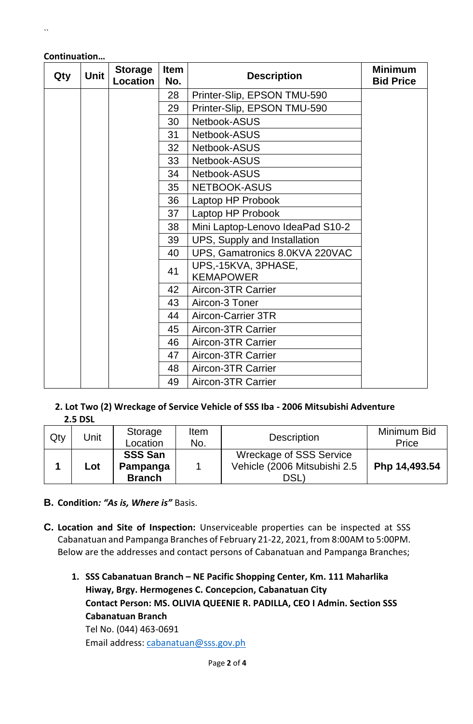| Qty | <b>Unit</b> | <b>Storage</b><br><b>Location</b> | <b>Item</b><br>No. | <b>Description</b>                      | <b>Minimum</b><br><b>Bid Price</b> |
|-----|-------------|-----------------------------------|--------------------|-----------------------------------------|------------------------------------|
|     |             |                                   | 28                 | Printer-Slip, EPSON TMU-590             |                                    |
|     |             |                                   | 29                 | Printer-Slip, EPSON TMU-590             |                                    |
|     |             |                                   | 30                 | Netbook-ASUS                            |                                    |
|     |             |                                   | 31                 | Netbook-ASUS                            |                                    |
|     |             |                                   | 32                 | Netbook-ASUS                            |                                    |
|     |             |                                   | 33                 | Netbook-ASUS                            |                                    |
|     |             |                                   | 34                 | Netbook-ASUS                            |                                    |
|     |             |                                   | 35 <sub>2</sub>    | NETBOOK-ASUS                            |                                    |
|     |             |                                   | 36                 | Laptop HP Probook                       |                                    |
|     |             |                                   | 37                 | Laptop HP Probook                       |                                    |
|     |             |                                   | 38                 | Mini Laptop-Lenovo IdeaPad S10-2        |                                    |
|     |             |                                   | 39                 | UPS, Supply and Installation            |                                    |
|     |             |                                   | 40                 | UPS, Gamatronics 8.0KVA 220VAC          |                                    |
|     |             |                                   | 41                 | UPS,-15KVA, 3PHASE,<br><b>KEMAPOWER</b> |                                    |
|     |             |                                   | 42                 | Aircon-3TR Carrier                      |                                    |
|     |             |                                   | 43                 | Aircon-3 Toner                          |                                    |
|     |             |                                   | 44                 | <b>Aircon-Carrier 3TR</b>               |                                    |
|     |             |                                   | 45                 | Aircon-3TR Carrier                      |                                    |
|     |             |                                   | 46                 | Aircon-3TR Carrier                      |                                    |
|     |             |                                   | 47                 | Aircon-3TR Carrier                      |                                    |
|     |             |                                   | 48                 | Aircon-3TR Carrier                      |                                    |
|     |             |                                   | 49                 | Aircon-3TR Carrier                      |                                    |

#### **Continuation…**

#### **2. Lot Two (2) Wreckage of Service Vehicle of SSS Iba - 2006 Mitsubishi Adventure 2.5 DSL**

| Qty | Unit                                               | Storage<br>Location | Item<br>No.                                                           | <b>Description</b> | Minimum Bid<br>Price |
|-----|----------------------------------------------------|---------------------|-----------------------------------------------------------------------|--------------------|----------------------|
|     | <b>SSS San</b><br>Pampanga<br>Lot<br><b>Branch</b> |                     | <b>Wreckage of SSS Service</b><br>Vehicle (2006 Mitsubishi 2.5<br>DSL | Php 14,493.54      |                      |

- **B. Condition***: "As is, Where is"* Basis.
- **C. Location and Site of Inspection:** Unserviceable properties can be inspected at SSS Cabanatuan and Pampanga Branches of February 21-22, 2021, from 8:00AM to 5:00PM. Below are the addresses and contact persons of Cabanatuan and Pampanga Branches;
	- **1. SSS Cabanatuan Branch – NE Pacific Shopping Center, Km. 111 Maharlika Hiway, Brgy. Hermogenes C. Concepcion, Cabanatuan City Contact Person: MS. OLIVIA QUEENIE R. PADILLA, CEO I Admin. Section SSS Cabanatuan Branch** Tel No. (044) 463-0691

Email address: [cabanatuan@sss.gov.ph](mailto:cabanatuan@sss.gov.ph)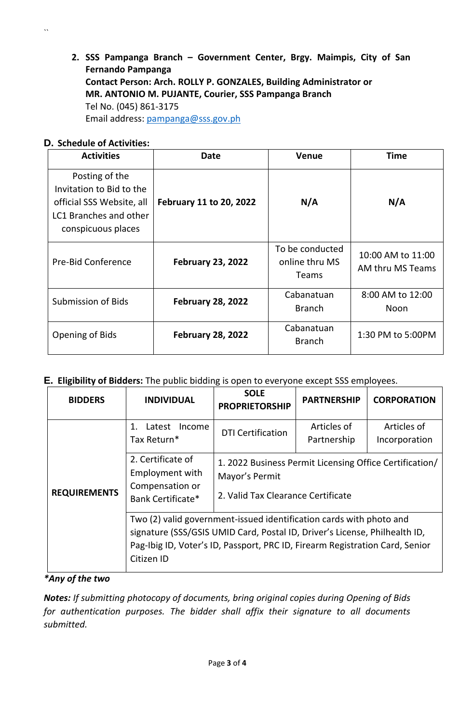**2. SSS Pampanga Branch – Government Center, Brgy. Maimpis, City of San Fernando Pampanga Contact Person: Arch. ROLLY P. GONZALES, Building Administrator or MR. ANTONIO M. PUJANTE, Courier, SSS Pampanga Branch** Tel No. (045) 861-3175 Email address: [pampanga@sss.gov.ph](mailto:pampanga@sss.gov.ph)

## **D. Schedule of Activities:**

 $\ddot{\phantom{a}}$ 

| <b>Activities</b>                                                                                                       | Date                     | <b>Venue</b>                                      | <b>Time</b>                           |
|-------------------------------------------------------------------------------------------------------------------------|--------------------------|---------------------------------------------------|---------------------------------------|
| Posting of the<br>Invitation to Bid to the<br>official SSS Website, all<br>LC1 Branches and other<br>conspicuous places | February 11 to 20, 2022  | N/A                                               | N/A                                   |
| <b>Pre-Bid Conference</b>                                                                                               | <b>February 23, 2022</b> | To be conducted<br>online thru MS<br><b>Teams</b> | 10:00 AM to 11:00<br>AM thru MS Teams |
| <b>Submission of Bids</b>                                                                                               | <b>February 28, 2022</b> | Cabanatuan<br><b>Branch</b>                       | 8:00 AM to 12:00<br>Noon              |
| Opening of Bids                                                                                                         | <b>February 28, 2022</b> | Cabanatuan<br><b>Branch</b>                       | 1:30 PM to 5:00PM                     |

# **E. Eligibility of Bidders:** The public bidding is open to everyone except SSS employees.

| <b>BIDDERS</b>      | <b>INDIVIDUAL</b>                                                                                                                                                                                                                               | <b>SOLE</b><br><b>PROPRIETORSHIP</b>                                                                            | <b>PARTNERSHIP</b>         | <b>CORPORATION</b>           |  |  |
|---------------------|-------------------------------------------------------------------------------------------------------------------------------------------------------------------------------------------------------------------------------------------------|-----------------------------------------------------------------------------------------------------------------|----------------------------|------------------------------|--|--|
|                     | Latest<br>1<br>Income<br>Tax Return*                                                                                                                                                                                                            | <b>DTI Certification</b>                                                                                        | Articles of<br>Partnership | Articles of<br>Incorporation |  |  |
| <b>REQUIREMENTS</b> | 2. Certificate of<br><b>Employment with</b><br>Compensation or<br>Bank Certificate*                                                                                                                                                             | 1. 2022 Business Permit Licensing Office Certification/<br>Mayor's Permit<br>2. Valid Tax Clearance Certificate |                            |                              |  |  |
|                     | Two (2) valid government-issued identification cards with photo and<br>signature (SSS/GSIS UMID Card, Postal ID, Driver's License, Philhealth ID,<br>Pag-Ibig ID, Voter's ID, Passport, PRC ID, Firearm Registration Card, Senior<br>Citizen ID |                                                                                                                 |                            |                              |  |  |

## *\*Any of the two*

*Notes: If submitting photocopy of documents, bring original copies during Opening of Bids for authentication purposes. The bidder shall affix their signature to all documents submitted.*